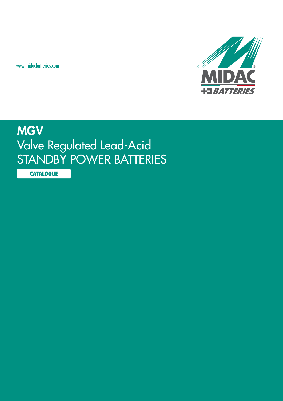www.midacbatteries.com



## **MGV** Valve Regulated Lead-Acid STANDBY POWER BATTERIES

**CATALOGUE**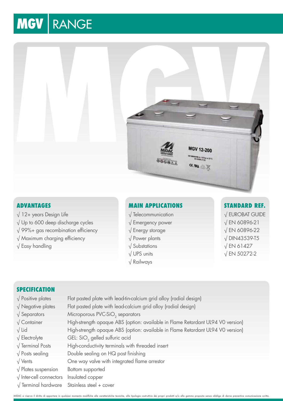# **MGV | RANGE**



#### **Advantages**

√ 12+ years Design Life √ Up to 600 deep discharge cycles √ 99%+ gas recombination efficiency

- √ Maximum charging efficiency
- √ Easy handling

#### **Main Applications**

- √ Telecommunication √ Emergency power √ Energy storage
- √ Power plants
- √ Substations
- √ UPS units
- √ Railways

#### **Standard Ref.** √ EUROBAT GUIDE

√ EN 60896-21 √ EN 60896-22 √ DIN43539-T5 √ EN 61427 √ EN 50272-2

#### **SPECIFICATION**

- 
- 
- 
- 
- 
- 
- 
- 
- 
- 
- √ Inter-cell connectors Insulated copper
- 

√ Positive plates Flat pasted plate with lead-tin-calcium grid alloy (radial design) √ Negative plates Flat pasted plate with lead-calcium grid alloy (radial design) √ Separators Microporous PVC-SiO<sub>2</sub> separators √ Container High-strength opaque ABS (option: available in Flame Retardant UL94 V0 version) √ Lid High-strength opaque ABS (option: available in Flame Retardant UL94 V0 version) √ Electrolyte GEL: SiO<sub>2</sub> gelled sulfuric acid √ Terminal Posts High-conductivity terminals with threaded insert √ Posts sealing Double sealing on HQ post finishing √ Vents One way valve with integrated flame arrestor √ Plates suspension Bottom supported √ Terminal hardware Stainless steel + cover